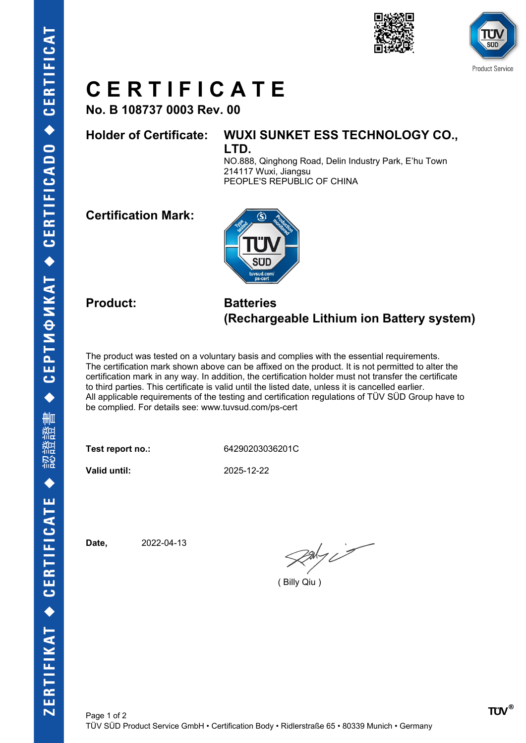



## **C E R T I F I C A T E**

**No. B 108737 0003 Rev. 00**

### **Holder of Certificate: WUXI SUNKET ESS TECHNOLOGY CO.,**

**LTD.**

NO.888, Qinghong Road, Delin Industry Park, E'hu Town 214117 Wuxi, Jiangsu PEOPLE'S REPUBLIC OF CHINA

**Certification Mark:**



#### **Product: Batteries (Rechargeable Lithium ion Battery system)**

The product was tested on a voluntary basis and complies with the essential requirements. The certification mark shown above can be affixed on the product. It is not permitted to alter the certification mark in any way. In addition, the certification holder must not transfer the certificate to third parties. This certificate is valid until the listed date, unless it is cancelled earlier. All applicable requirements of the testing and certification regulations of TÜV SÜD Group have to be complied. For details see: www.tuvsud.com/ps-cert

**Test report no.:** 64290203036201C

**Valid until:** 2025-12-22

**Date,** 2022-04-13

 $\frac{1}{2}$ 

( Billy Qiu )